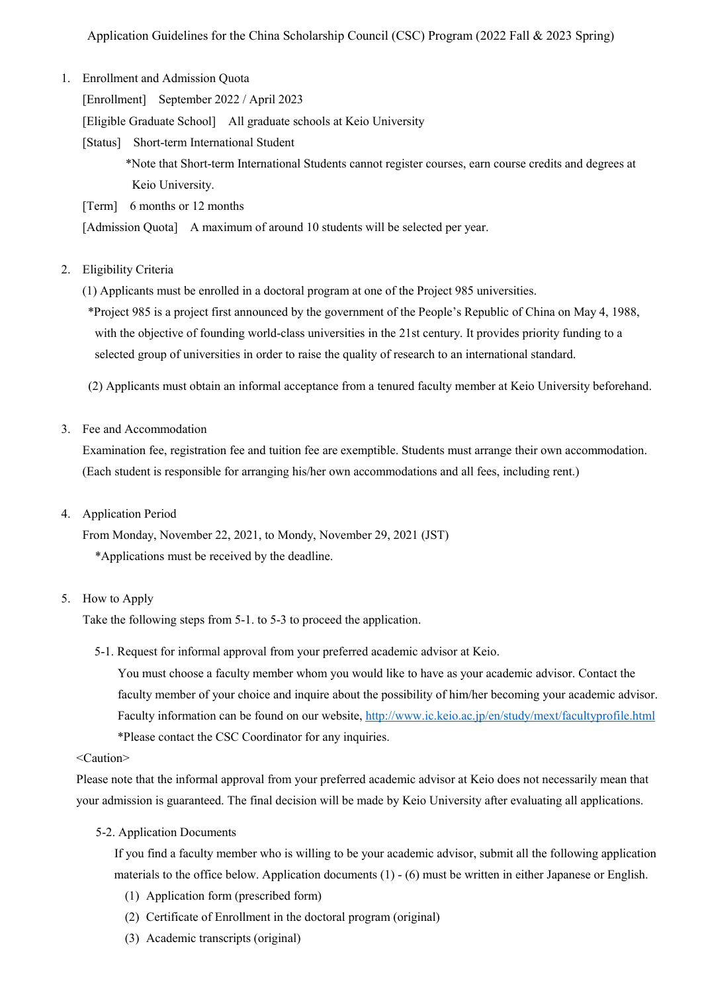1. Enrollment and Admission Quota

[Enrollment] September 2022 / April 2023

[Eligible Graduate School] All graduate schools at Keio University

[Status] Short-term International Student

\*Note that Short-term International Students cannot register courses, earn course credits and degrees at Keio University.

[Term] 6 months or 12 months

[Admission Quota] A maximum of around 10 students will be selected per year.

# 2. Eligibility Criteria

(1) Applicants must be enrolled in a doctoral program at one of the Project 985 universities.

\*Project 985 is a project first announced by the government of the People's Republic of China on May 4, 1988, with the objective of founding world-class universities in the 21st century. It provides priority funding to a selected group of universities in order to raise the quality of research to an international standard.

(2) Applicants must obtain an informal acceptance from a tenured faculty member at Keio University beforehand.

# 3. Fee and Accommodation

Examination fee, registration fee and tuition fee are exemptible. Students must arrange their own accommodation. (Each student is responsible for arranging his/her own accommodations and all fees, including rent.)

## 4. Application Period

From Monday, November 22, 2021, to Mondy, November 29, 2021 (JST)

\*Applications must be received by the deadline.

## 5. How to Apply

Take the following steps from 5-1. to 5-3 to proceed the application.

5-1. Request for informal approval from your preferred academic advisor at Keio.

You must choose a faculty member whom you would like to have as your academic advisor. Contact the faculty member of your choice and inquire about the possibility of him/her becoming your academic advisor. Faculty information can be found on our website, http://www.ic.keio.ac.jp/en/study/mext/facultyprofile.html \*Please contact the CSC Coordinator for any inquiries.

## <Caution>

Please note that the informal approval from your preferred academic advisor at Keio does not necessarily mean that your admission is guaranteed. The final decision will be made by Keio University after evaluating all applications.

5-2. Application Documents

 If you find a faculty member who is willing to be your academic advisor, submit all the following application materials to the office below. Application documents (1) - (6) must be written in either Japanese or English.

- (1) Application form (prescribed form)
- (2) Certificate of Enrollment in the doctoral program (original)
- (3) Academic transcripts (original)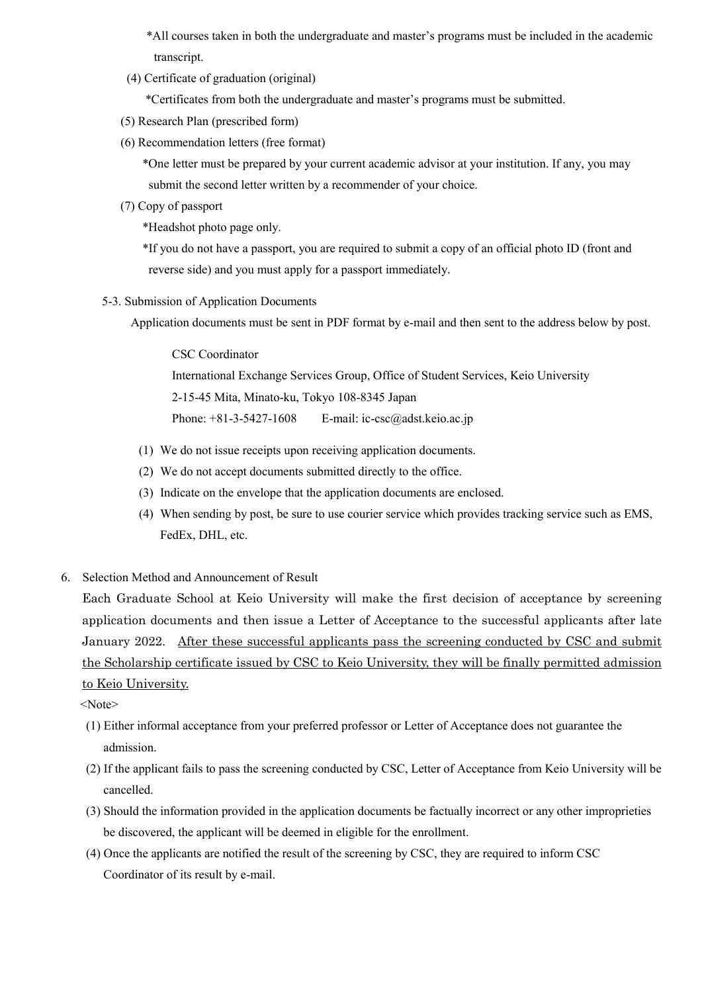\*All courses taken in both the undergraduate and master's programs must be included in the academic transcript.

(4) Certificate of graduation (original)

\*Certificates from both the undergraduate and master's programs must be submitted.

- (5) Research Plan (prescribed form)
- (6) Recommendation letters (free format)

 \*One letter must be prepared by your current academic advisor at your institution. If any, you may submit the second letter written by a recommender of your choice.

(7) Copy of passport

\*Headshot photo page only.

 \*If you do not have a passport, you are required to submit a copy of an official photo ID (front and reverse side) and you must apply for a passport immediately.

5-3. Submission of Application Documents

Application documents must be sent in PDF format by e-mail and then sent to the address below by post.

CSC Coordinator International Exchange Services Group, Office of Student Services, Keio University 2-15-45 Mita, Minato-ku, Tokyo 108-8345 Japan Phone: +81-3-5427-1608 E-mail: ic-csc@adst.keio.ac.jp

- (1) We do not issue receipts upon receiving application documents.
- (2) We do not accept documents submitted directly to the office.
- (3) Indicate on the envelope that the application documents are enclosed.
- (4) When sending by post, be sure to use courier service which provides tracking service such as EMS, FedEx, DHL, etc.
- 6. Selection Method and Announcement of Result

Each Graduate School at Keio University will make the first decision of acceptance by screening application documents and then issue a Letter of Acceptance to the successful applicants after late January 2022. After these successful applicants pass the screening conducted by CSC and submit the Scholarship certificate issued by CSC to Keio University, they will be finally permitted admission to Keio University.

<Note>

- (1) Either informal acceptance from your preferred professor or Letter of Acceptance does not guarantee the admission.
- (2) If the applicant fails to pass the screening conducted by CSC, Letter of Acceptance from Keio University will be cancelled.
- (3) Should the information provided in the application documents be factually incorrect or any other improprieties be discovered, the applicant will be deemed in eligible for the enrollment.
- (4) Once the applicants are notified the result of the screening by CSC, they are required to inform CSC Coordinator of its result by e-mail.